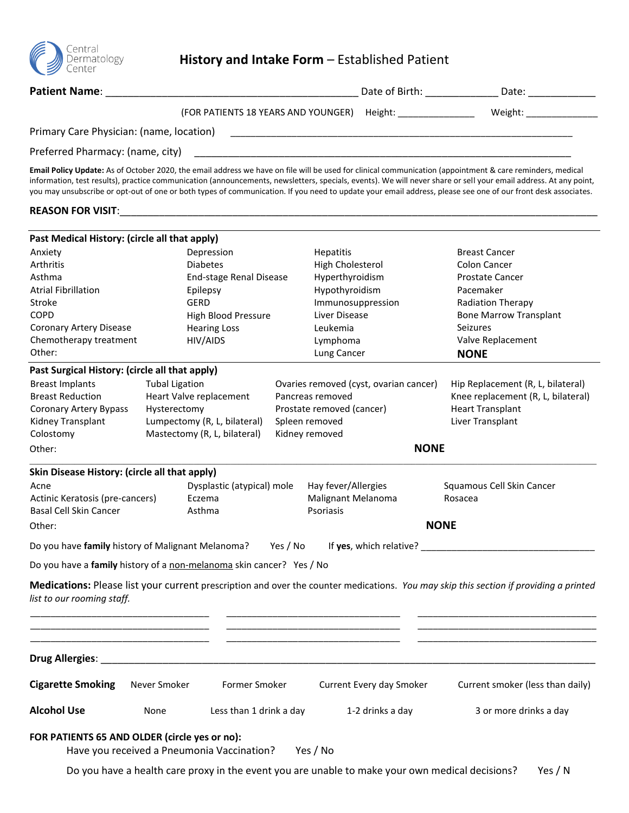

## **History and Intake Form** – Established Patient

| Patient Name:                                     |                                                                                                                                                                                                                               |                                                                                                                       |                          | Date of Birth: _________________________ Date: _________________________________                                                                                                                                                                                                                                                                                                                                                                                                              |
|---------------------------------------------------|-------------------------------------------------------------------------------------------------------------------------------------------------------------------------------------------------------------------------------|-----------------------------------------------------------------------------------------------------------------------|--------------------------|-----------------------------------------------------------------------------------------------------------------------------------------------------------------------------------------------------------------------------------------------------------------------------------------------------------------------------------------------------------------------------------------------------------------------------------------------------------------------------------------------|
|                                                   | (FOR PATIENTS 18 YEARS AND YOUNGER) Height: ________________                                                                                                                                                                  |                                                                                                                       |                          | Weight: Weight:                                                                                                                                                                                                                                                                                                                                                                                                                                                                               |
| Primary Care Physician: (name, location)          |                                                                                                                                                                                                                               |                                                                                                                       |                          |                                                                                                                                                                                                                                                                                                                                                                                                                                                                                               |
| Preferred Pharmacy: (name, city)                  |                                                                                                                                                                                                                               |                                                                                                                       |                          |                                                                                                                                                                                                                                                                                                                                                                                                                                                                                               |
|                                                   |                                                                                                                                                                                                                               |                                                                                                                       |                          | Email Policy Update: As of October 2020, the email address we have on file will be used for clinical communication (appointment & care reminders, medical<br>information, test results), practice communication (announcements, newsletters, specials, events). We will never share or sell your email address. At any point,<br>you may unsubscribe or opt-out of one or both types of communication. If you need to update your email address, please see one of our front desk associates. |
|                                                   | REASON FOR VISIT: New York Canada and the Canada and the Canada and the Canada and the Canada and the Canada and the Canada and the Canada and the Canada and the Canada and the Canada and the Canada and the Canada and the |                                                                                                                       |                          |                                                                                                                                                                                                                                                                                                                                                                                                                                                                                               |
| Past Medical History: (circle all that apply)     |                                                                                                                                                                                                                               |                                                                                                                       |                          |                                                                                                                                                                                                                                                                                                                                                                                                                                                                                               |
| Anxiety                                           | Depression                                                                                                                                                                                                                    | <b>Hepatitis</b>                                                                                                      |                          | <b>Breast Cancer</b>                                                                                                                                                                                                                                                                                                                                                                                                                                                                          |
| Arthritis                                         | <b>Diabetes</b>                                                                                                                                                                                                               | High Cholesterol                                                                                                      |                          | Colon Cancer                                                                                                                                                                                                                                                                                                                                                                                                                                                                                  |
| Asthma                                            | End-stage Renal Disease                                                                                                                                                                                                       | Hyperthyroidism                                                                                                       |                          | Prostate Cancer                                                                                                                                                                                                                                                                                                                                                                                                                                                                               |
| <b>Atrial Fibrillation</b>                        | Epilepsy                                                                                                                                                                                                                      | Hypothyroidism                                                                                                        |                          | Pacemaker                                                                                                                                                                                                                                                                                                                                                                                                                                                                                     |
| Stroke                                            | GERD                                                                                                                                                                                                                          | Immunosuppression                                                                                                     |                          | <b>Radiation Therapy</b>                                                                                                                                                                                                                                                                                                                                                                                                                                                                      |
| <b>COPD</b>                                       | High Blood Pressure                                                                                                                                                                                                           | Liver Disease                                                                                                         |                          | <b>Bone Marrow Transplant</b>                                                                                                                                                                                                                                                                                                                                                                                                                                                                 |
| <b>Coronary Artery Disease</b>                    | <b>Hearing Loss</b>                                                                                                                                                                                                           | Leukemia                                                                                                              |                          | <b>Seizures</b>                                                                                                                                                                                                                                                                                                                                                                                                                                                                               |
| Chemotherapy treatment                            | HIV/AIDS                                                                                                                                                                                                                      | Lymphoma                                                                                                              |                          | Valve Replacement                                                                                                                                                                                                                                                                                                                                                                                                                                                                             |
| Other:                                            |                                                                                                                                                                                                                               | Lung Cancer                                                                                                           |                          | <b>NONE</b>                                                                                                                                                                                                                                                                                                                                                                                                                                                                                   |
| Past Surgical History: (circle all that apply)    |                                                                                                                                                                                                                               |                                                                                                                       |                          |                                                                                                                                                                                                                                                                                                                                                                                                                                                                                               |
| <b>Breast Implants</b>                            | <b>Tubal Ligation</b>                                                                                                                                                                                                         | Ovaries removed (cyst, ovarian cancer)                                                                                |                          | Hip Replacement (R, L, bilateral)                                                                                                                                                                                                                                                                                                                                                                                                                                                             |
| <b>Breast Reduction</b>                           | Heart Valve replacement                                                                                                                                                                                                       | Pancreas removed                                                                                                      |                          | Knee replacement (R, L, bilateral)                                                                                                                                                                                                                                                                                                                                                                                                                                                            |
| <b>Coronary Artery Bypass</b>                     | Hysterectomy                                                                                                                                                                                                                  | Prostate removed (cancer)                                                                                             |                          | <b>Heart Transplant</b>                                                                                                                                                                                                                                                                                                                                                                                                                                                                       |
| Kidney Transplant                                 | Lumpectomy (R, L, bilateral)                                                                                                                                                                                                  | Spleen removed                                                                                                        |                          | Liver Transplant                                                                                                                                                                                                                                                                                                                                                                                                                                                                              |
| Colostomy                                         | Mastectomy (R, L, bilateral)                                                                                                                                                                                                  | Kidney removed                                                                                                        |                          |                                                                                                                                                                                                                                                                                                                                                                                                                                                                                               |
| Other:                                            |                                                                                                                                                                                                                               |                                                                                                                       | <b>NONE</b>              |                                                                                                                                                                                                                                                                                                                                                                                                                                                                                               |
|                                                   |                                                                                                                                                                                                                               |                                                                                                                       |                          |                                                                                                                                                                                                                                                                                                                                                                                                                                                                                               |
| Skin Disease History: (circle all that apply)     |                                                                                                                                                                                                                               |                                                                                                                       |                          |                                                                                                                                                                                                                                                                                                                                                                                                                                                                                               |
| Acne                                              | Dysplastic (atypical) mole                                                                                                                                                                                                    | Hay fever/Allergies                                                                                                   |                          | Squamous Cell Skin Cancer                                                                                                                                                                                                                                                                                                                                                                                                                                                                     |
| Actinic Keratosis (pre-cancers)                   | Eczema                                                                                                                                                                                                                        | Malignant Melanoma                                                                                                    |                          | Rosacea                                                                                                                                                                                                                                                                                                                                                                                                                                                                                       |
| Basal Cell Skin Cancer                            | Asthma                                                                                                                                                                                                                        | Psoriasis                                                                                                             |                          |                                                                                                                                                                                                                                                                                                                                                                                                                                                                                               |
| Other:                                            |                                                                                                                                                                                                                               |                                                                                                                       | <b>NONE</b>              |                                                                                                                                                                                                                                                                                                                                                                                                                                                                                               |
| Do you have family history of Malignant Melanoma? |                                                                                                                                                                                                                               | Yes / No                                                                                                              |                          | If yes, which relative?                                                                                                                                                                                                                                                                                                                                                                                                                                                                       |
|                                                   | Do you have a family history of a non-melanoma skin cancer? Yes / No                                                                                                                                                          |                                                                                                                       |                          |                                                                                                                                                                                                                                                                                                                                                                                                                                                                                               |
| list to our rooming staff.                        |                                                                                                                                                                                                                               |                                                                                                                       |                          | Medications: Please list your current prescription and over the counter medications. You may skip this section if providing a printed                                                                                                                                                                                                                                                                                                                                                         |
|                                                   |                                                                                                                                                                                                                               |                                                                                                                       |                          |                                                                                                                                                                                                                                                                                                                                                                                                                                                                                               |
|                                                   |                                                                                                                                                                                                                               | <u> 1989 - Johann John Stein, mars an deutscher Stein und der Stein und der Stein und der Stein und der Stein und</u> |                          |                                                                                                                                                                                                                                                                                                                                                                                                                                                                                               |
|                                                   | Never Smoker<br>Former Smoker                                                                                                                                                                                                 |                                                                                                                       | Current Every day Smoker | Current smoker (less than daily)                                                                                                                                                                                                                                                                                                                                                                                                                                                              |
| <b>Cigarette Smoking</b>                          |                                                                                                                                                                                                                               |                                                                                                                       |                          |                                                                                                                                                                                                                                                                                                                                                                                                                                                                                               |

## **FOR PATIENTS 65 AND OLDER (circle yes or no):**

Have you received a Pneumonia Vaccination? Yes / No